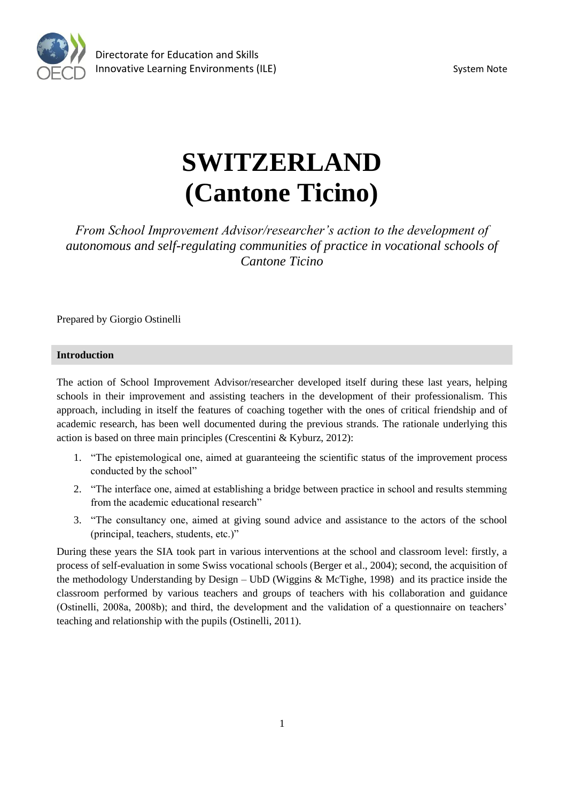

# **SWITZERLAND (Cantone Ticino)**

*From School Improvement Advisor/researcher's action to the development of autonomous and self-regulating communities of practice in vocational schools of Cantone Ticino* 

Prepared by Giorgio Ostinelli

## **Introduction**

The action of School Improvement Advisor/researcher developed itself during these last years, helping schools in their improvement and assisting teachers in the development of their professionalism. This approach, including in itself the features of coaching together with the ones of critical friendship and of academic research, has been well documented during the previous strands. The rationale underlying this action is based on three main principles (Crescentini & Kyburz, 2012):

- 1. "The epistemological one, aimed at guaranteeing the scientific status of the improvement process conducted by the school"
- 2. "The interface one, aimed at establishing a bridge between practice in school and results stemming from the academic educational research"
- 3. "The consultancy one, aimed at giving sound advice and assistance to the actors of the school (principal, teachers, students, etc.)"

During these years the SIA took part in various interventions at the school and classroom level: firstly, a process of self-evaluation in some Swiss vocational schools (Berger et al., 2004); second, the acquisition of the methodology Understanding by Design – UbD (Wiggins & McTighe, 1998) and its practice inside the classroom performed by various teachers and groups of teachers with his collaboration and guidance (Ostinelli, 2008a, 2008b); and third, the development and the validation of a questionnaire on teachers' teaching and relationship with the pupils (Ostinelli, 2011).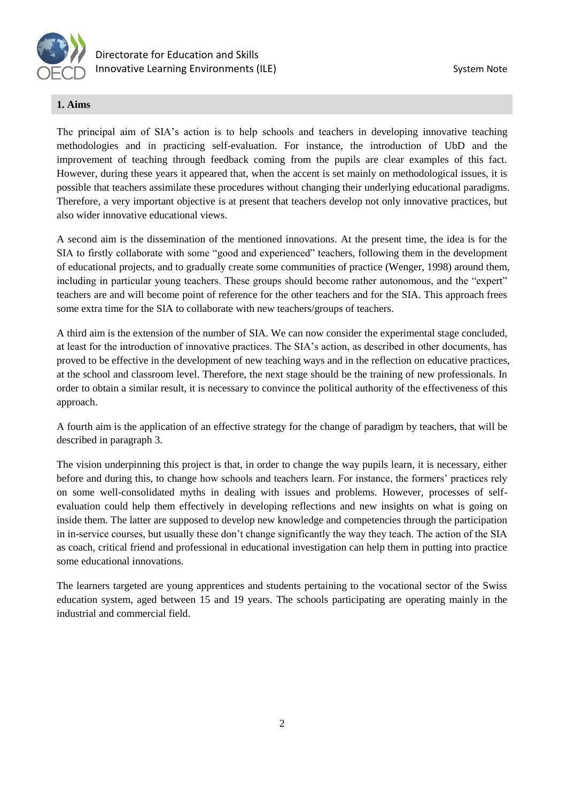

## **1. Aims**

The principal aim of SIA's action is to help schools and teachers in developing innovative teaching methodologies and in practicing self-evaluation. For instance, the introduction of UbD and the improvement of teaching through feedback coming from the pupils are clear examples of this fact. However, during these years it appeared that, when the accent is set mainly on methodological issues, it is possible that teachers assimilate these procedures without changing their underlying educational paradigms. Therefore, a very important objective is at present that teachers develop not only innovative practices, but also wider innovative educational views.

A second aim is the dissemination of the mentioned innovations. At the present time, the idea is for the SIA to firstly collaborate with some "good and experienced" teachers, following them in the development of educational projects, and to gradually create some communities of practice (Wenger, 1998) around them, including in particular young teachers. These groups should become rather autonomous, and the "expert" teachers are and will become point of reference for the other teachers and for the SIA. This approach frees some extra time for the SIA to collaborate with new teachers/groups of teachers.

A third aim is the extension of the number of SIA. We can now consider the experimental stage concluded, at least for the introduction of innovative practices. The SIA's action, as described in other documents, has proved to be effective in the development of new teaching ways and in the reflection on educative practices, at the school and classroom level. Therefore, the next stage should be the training of new professionals. In order to obtain a similar result, it is necessary to convince the political authority of the effectiveness of this approach.

A fourth aim is the application of an effective strategy for the change of paradigm by teachers, that will be described in paragraph 3.

The vision underpinning this project is that, in order to change the way pupils learn, it is necessary, either before and during this, to change how schools and teachers learn. For instance, the formers' practices rely on some well-consolidated myths in dealing with issues and problems. However, processes of selfevaluation could help them effectively in developing reflections and new insights on what is going on inside them. The latter are supposed to develop new knowledge and competencies through the participation in in-service courses, but usually these don't change significantly the way they teach. The action of the SIA as coach, critical friend and professional in educational investigation can help them in putting into practice some educational innovations.

The learners targeted are young apprentices and students pertaining to the vocational sector of the Swiss education system, aged between 15 and 19 years. The schools participating are operating mainly in the industrial and commercial field.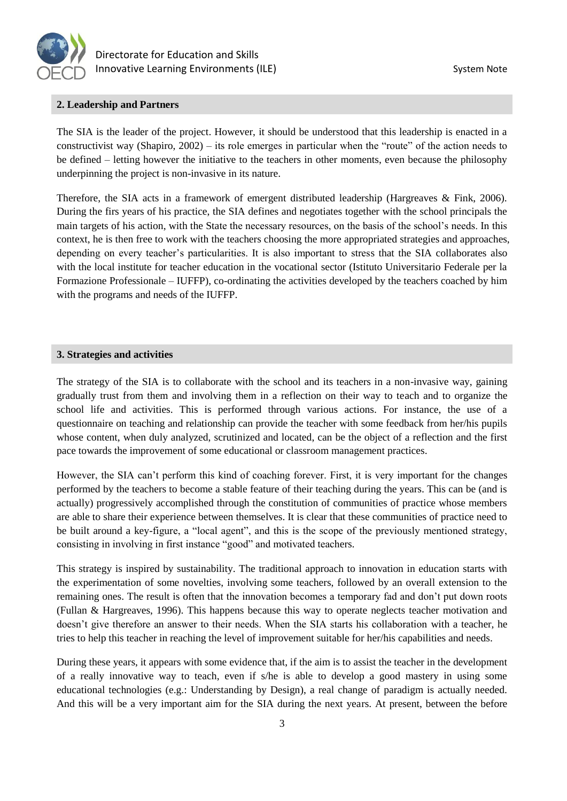

## **2. Leadership and Partners**

The SIA is the leader of the project. However, it should be understood that this leadership is enacted in a constructivist way (Shapiro, 2002) – its role emerges in particular when the "route" of the action needs to be defined – letting however the initiative to the teachers in other moments, even because the philosophy underpinning the project is non-invasive in its nature.

Therefore, the SIA acts in a framework of emergent distributed leadership (Hargreaves & Fink, 2006). During the firs years of his practice, the SIA defines and negotiates together with the school principals the main targets of his action, with the State the necessary resources, on the basis of the school's needs. In this context, he is then free to work with the teachers choosing the more appropriated strategies and approaches, depending on every teacher's particularities. It is also important to stress that the SIA collaborates also with the local institute for teacher education in the vocational sector (Istituto Universitario Federale per la Formazione Professionale – IUFFP), co-ordinating the activities developed by the teachers coached by him with the programs and needs of the IUFFP.

#### **3. Strategies and activities**

The strategy of the SIA is to collaborate with the school and its teachers in a non-invasive way, gaining gradually trust from them and involving them in a reflection on their way to teach and to organize the school life and activities. This is performed through various actions. For instance, the use of a questionnaire on teaching and relationship can provide the teacher with some feedback from her/his pupils whose content, when duly analyzed, scrutinized and located, can be the object of a reflection and the first pace towards the improvement of some educational or classroom management practices.

However, the SIA can't perform this kind of coaching forever. First, it is very important for the changes performed by the teachers to become a stable feature of their teaching during the years. This can be (and is actually) progressively accomplished through the constitution of communities of practice whose members are able to share their experience between themselves. It is clear that these communities of practice need to be built around a key-figure, a "local agent", and this is the scope of the previously mentioned strategy, consisting in involving in first instance "good" and motivated teachers.

This strategy is inspired by sustainability. The traditional approach to innovation in education starts with the experimentation of some novelties, involving some teachers, followed by an overall extension to the remaining ones. The result is often that the innovation becomes a temporary fad and don't put down roots (Fullan & Hargreaves, 1996). This happens because this way to operate neglects teacher motivation and doesn't give therefore an answer to their needs. When the SIA starts his collaboration with a teacher, he tries to help this teacher in reaching the level of improvement suitable for her/his capabilities and needs.

During these years, it appears with some evidence that, if the aim is to assist the teacher in the development of a really innovative way to teach, even if s/he is able to develop a good mastery in using some educational technologies (e.g.: Understanding by Design), a real change of paradigm is actually needed. And this will be a very important aim for the SIA during the next years. At present, between the before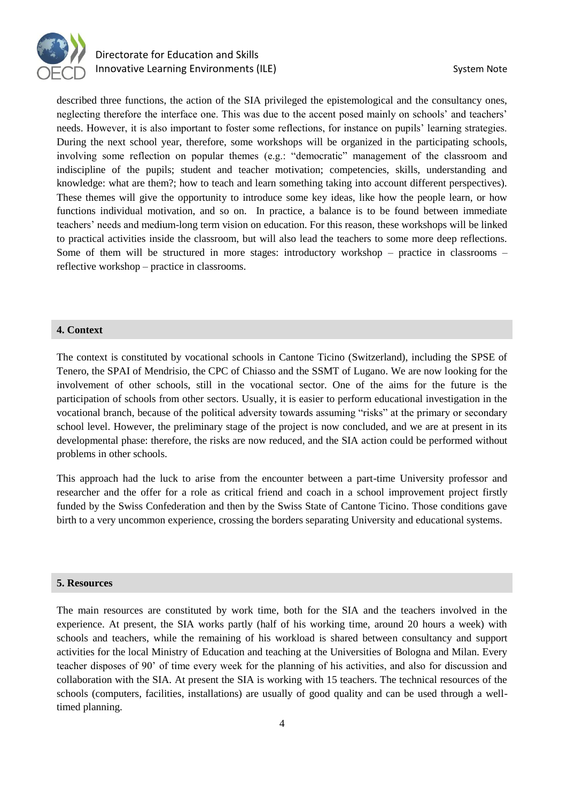

## Directorate for Education and Skills Innovative Learning Environments (ILE) System Note

described three functions, the action of the SIA privileged the epistemological and the consultancy ones, neglecting therefore the interface one. This was due to the accent posed mainly on schools' and teachers' needs. However, it is also important to foster some reflections, for instance on pupils' learning strategies. During the next school year, therefore, some workshops will be organized in the participating schools, involving some reflection on popular themes (e.g.: "democratic" management of the classroom and indiscipline of the pupils; student and teacher motivation; competencies, skills, understanding and knowledge: what are them?; how to teach and learn something taking into account different perspectives). These themes will give the opportunity to introduce some key ideas, like how the people learn, or how functions individual motivation, and so on. In practice, a balance is to be found between immediate teachers' needs and medium-long term vision on education. For this reason, these workshops will be linked to practical activities inside the classroom, but will also lead the teachers to some more deep reflections. Some of them will be structured in more stages: introductory workshop – practice in classrooms – reflective workshop – practice in classrooms.

## **4. Context**

The context is constituted by vocational schools in Cantone Ticino (Switzerland), including the SPSE of Tenero, the SPAI of Mendrisio, the CPC of Chiasso and the SSMT of Lugano. We are now looking for the involvement of other schools, still in the vocational sector. One of the aims for the future is the participation of schools from other sectors. Usually, it is easier to perform educational investigation in the vocational branch, because of the political adversity towards assuming "risks" at the primary or secondary school level. However, the preliminary stage of the project is now concluded, and we are at present in its developmental phase: therefore, the risks are now reduced, and the SIA action could be performed without problems in other schools.

This approach had the luck to arise from the encounter between a part-time University professor and researcher and the offer for a role as critical friend and coach in a school improvement project firstly funded by the Swiss Confederation and then by the Swiss State of Cantone Ticino. Those conditions gave birth to a very uncommon experience, crossing the borders separating University and educational systems.

#### **5. Resources**

The main resources are constituted by work time, both for the SIA and the teachers involved in the experience. At present, the SIA works partly (half of his working time, around 20 hours a week) with schools and teachers, while the remaining of his workload is shared between consultancy and support activities for the local Ministry of Education and teaching at the Universities of Bologna and Milan. Every teacher disposes of 90' of time every week for the planning of his activities, and also for discussion and collaboration with the SIA. At present the SIA is working with 15 teachers. The technical resources of the schools (computers, facilities, installations) are usually of good quality and can be used through a welltimed planning.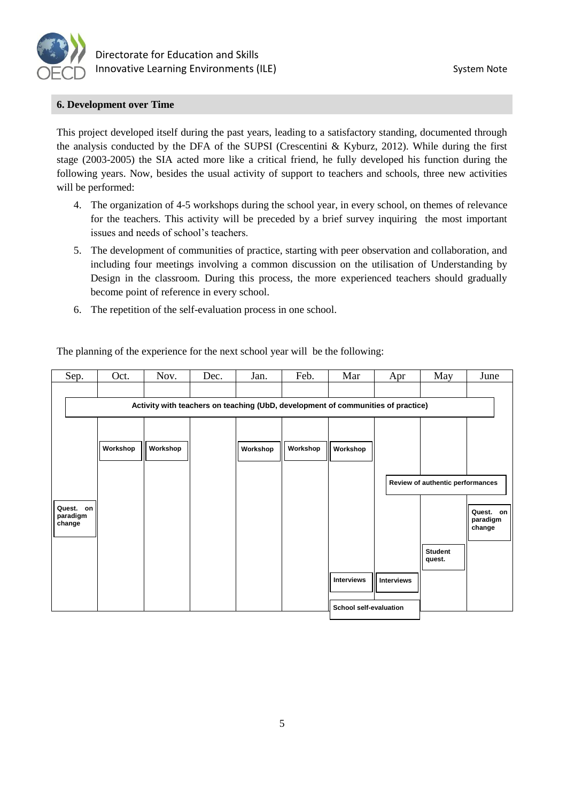

## **6. Development over Time**

This project developed itself during the past years, leading to a satisfactory standing, documented through the analysis conducted by the DFA of the SUPSI (Crescentini & Kyburz, 2012). While during the first stage (2003-2005) the SIA acted more like a critical friend, he fully developed his function during the following years. Now, besides the usual activity of support to teachers and schools, three new activities will be performed:

- 4. The organization of 4-5 workshops during the school year, in every school, on themes of relevance for the teachers. This activity will be preceded by a brief survey inquiring the most important issues and needs of school's teachers.
- 5. The development of communities of practice, starting with peer observation and collaboration, and including four meetings involving a common discussion on the utilisation of Understanding by Design in the classroom. During this process, the more experienced teachers should gradually become point of reference in every school.
- 6. The repetition of the self-evaluation process in one school.

| Sep.                                                                             | Oct.     | Nov.     | Dec. | Jan.     | Feb.     | Mar                           | Apr               | May                                                          | June                            |
|----------------------------------------------------------------------------------|----------|----------|------|----------|----------|-------------------------------|-------------------|--------------------------------------------------------------|---------------------------------|
| Activity with teachers on teaching (UbD, development of communities of practice) |          |          |      |          |          |                               |                   |                                                              |                                 |
| Quest.<br>on<br>paradigm<br>change                                               | Workshop | Workshop |      | Workshop | Workshop | Workshop<br><b>Interviews</b> | <b>Interviews</b> | Review of authentic performances<br><b>Student</b><br>quest. | Quest. on<br>paradigm<br>change |
|                                                                                  |          |          |      |          |          | School self-evaluation        |                   |                                                              |                                 |

The planning of the experience for the next school year will be the following: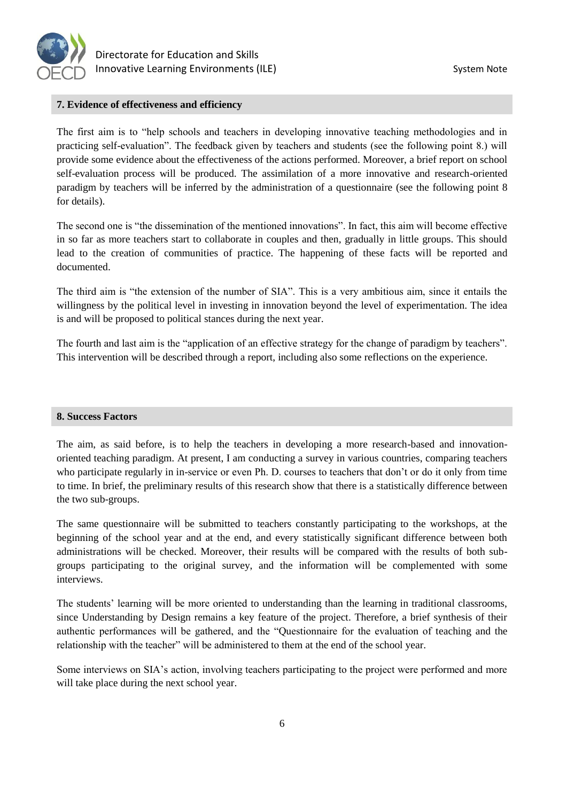

## **7. Evidence of effectiveness and efficiency**

The first aim is to "help schools and teachers in developing innovative teaching methodologies and in practicing self-evaluation". The feedback given by teachers and students (see the following point 8.) will provide some evidence about the effectiveness of the actions performed. Moreover, a brief report on school self-evaluation process will be produced. The assimilation of a more innovative and research-oriented paradigm by teachers will be inferred by the administration of a questionnaire (see the following point 8 for details).

The second one is "the dissemination of the mentioned innovations". In fact, this aim will become effective in so far as more teachers start to collaborate in couples and then, gradually in little groups. This should lead to the creation of communities of practice. The happening of these facts will be reported and documented.

The third aim is "the extension of the number of SIA". This is a very ambitious aim, since it entails the willingness by the political level in investing in innovation beyond the level of experimentation. The idea is and will be proposed to political stances during the next year.

The fourth and last aim is the "application of an effective strategy for the change of paradigm by teachers". This intervention will be described through a report, including also some reflections on the experience.

## **8. Success Factors**

The aim, as said before, is to help the teachers in developing a more research-based and innovationoriented teaching paradigm. At present, I am conducting a survey in various countries, comparing teachers who participate regularly in in-service or even Ph. D. courses to teachers that don't or do it only from time to time. In brief, the preliminary results of this research show that there is a statistically difference between the two sub-groups.

The same questionnaire will be submitted to teachers constantly participating to the workshops, at the beginning of the school year and at the end, and every statistically significant difference between both administrations will be checked. Moreover, their results will be compared with the results of both subgroups participating to the original survey, and the information will be complemented with some interviews.

The students' learning will be more oriented to understanding than the learning in traditional classrooms, since Understanding by Design remains a key feature of the project. Therefore, a brief synthesis of their authentic performances will be gathered, and the "Questionnaire for the evaluation of teaching and the relationship with the teacher" will be administered to them at the end of the school year.

Some interviews on SIA's action, involving teachers participating to the project were performed and more will take place during the next school year.